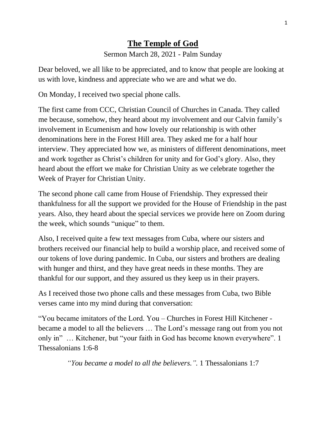## **The Temple of God**

Sermon March 28, 2021 - Palm Sunday

Dear beloved, we all like to be appreciated, and to know that people are looking at us with love, kindness and appreciate who we are and what we do.

On Monday, I received two special phone calls.

The first came from CCC, Christian Council of Churches in Canada. They called me because, somehow, they heard about my involvement and our Calvin family's involvement in Ecumenism and how lovely our relationship is with other denominations here in the Forest Hill area. They asked me for a half hour interview. They appreciated how we, as ministers of different denominations, meet and work together as Christ's children for unity and for God's glory. Also, they heard about the effort we make for Christian Unity as we celebrate together the Week of Prayer for Christian Unity.

The second phone call came from House of Friendship. They expressed their thankfulness for all the support we provided for the House of Friendship in the past years. Also, they heard about the special services we provide here on Zoom during the week, which sounds "unique" to them.

Also, I received quite a few text messages from Cuba, where our sisters and brothers received our financial help to build a worship place, and received some of our tokens of love during pandemic. In Cuba, our sisters and brothers are dealing with hunger and thirst, and they have great needs in these months. They are thankful for our support, and they assured us they keep us in their prayers.

As I received those two phone calls and these messages from Cuba, two Bible verses came into my mind during that conversation:

"You became imitators of the Lord. You – Churches in Forest Hill Kitchener became a model to all the believers … The Lord's message rang out from you not only in" … Kitchener, but "your faith in God has become known everywhere". 1 Thessalonians 1:6-8

*"You became a model to all the believers.".* 1 Thessalonians 1:7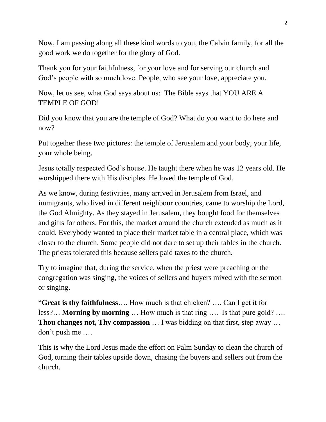Now, I am passing along all these kind words to you, the Calvin family, for all the good work we do together for the glory of God.

Thank you for your faithfulness, for your love and for serving our church and God's people with so much love. People, who see your love, appreciate you.

Now, let us see, what God says about us: The Bible says that YOU ARE A TEMPLE OF GOD!

Did you know that you are the temple of God? What do you want to do here and now?

Put together these two pictures: the temple of Jerusalem and your body, your life, your whole being.

Jesus totally respected God's house. He taught there when he was 12 years old. He worshipped there with His disciples. He loved the temple of God.

As we know, during festivities, many arrived in Jerusalem from Israel, and immigrants, who lived in different neighbour countries, came to worship the Lord, the God Almighty. As they stayed in Jerusalem, they bought food for themselves and gifts for others. For this, the market around the church extended as much as it could. Everybody wanted to place their market table in a central place, which was closer to the church. Some people did not dare to set up their tables in the church. The priests tolerated this because sellers paid taxes to the church.

Try to imagine that, during the service, when the priest were preaching or the congregation was singing, the voices of sellers and buyers mixed with the sermon or singing.

"**Great is thy faithfulness**…. How much is that chicken? …. Can I get it for less?… **Morning by morning** … How much is that ring …. Is that pure gold? …. **Thou changes not, Thy compassion** … I was bidding on that first, step away … don't push me ….

This is why the Lord Jesus made the effort on Palm Sunday to clean the church of God, turning their tables upside down, chasing the buyers and sellers out from the church.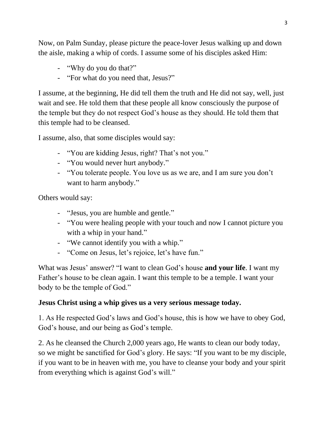Now, on Palm Sunday, please picture the peace-lover Jesus walking up and down the aisle, making a whip of cords. I assume some of his disciples asked Him:

- "Why do you do that?"
- "For what do you need that, Jesus?"

I assume, at the beginning, He did tell them the truth and He did not say, well, just wait and see. He told them that these people all know consciously the purpose of the temple but they do not respect God's house as they should. He told them that this temple had to be cleansed.

I assume, also, that some disciples would say:

- "You are kidding Jesus, right? That's not you."
- "You would never hurt anybody."
- "You tolerate people. You love us as we are, and I am sure you don't want to harm anybody."

Others would say:

- "Jesus, you are humble and gentle."
- "You were healing people with your touch and now I cannot picture you with a whip in your hand."
- "We cannot identify you with a whip."
- "Come on Jesus, let's rejoice, let's have fun."

What was Jesus' answer? "I want to clean God's house **and your life**. I want my Father's house to be clean again. I want this temple to be a temple. I want your body to be the temple of God."

## **Jesus Christ using a whip gives us a very serious message today.**

1. As He respected God's laws and God's house, this is how we have to obey God, God's house, and our being as God's temple.

2. As he cleansed the Church 2,000 years ago, He wants to clean our body today, so we might be sanctified for God's glory. He says: "If you want to be my disciple, if you want to be in heaven with me, you have to cleanse your body and your spirit from everything which is against God's will."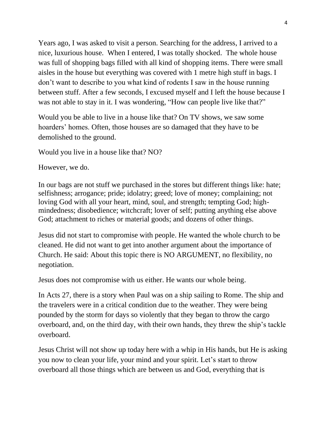Years ago, I was asked to visit a person. Searching for the address, I arrived to a nice, luxurious house. When I entered, I was totally shocked. The whole house was full of shopping bags filled with all kind of shopping items. There were small aisles in the house but everything was covered with 1 metre high stuff in bags. I don't want to describe to you what kind of rodents I saw in the house running between stuff. After a few seconds, I excused myself and I left the house because I was not able to stay in it. I was wondering, "How can people live like that?"

Would you be able to live in a house like that? On TV shows, we saw some hoarders' homes. Often, those houses are so damaged that they have to be demolished to the ground.

Would you live in a house like that? NO?

However, we do.

In our bags are not stuff we purchased in the stores but different things like: hate; selfishness; arrogance; pride; idolatry; greed; love of money; complaining; not loving God with all your heart, mind, soul, and strength; tempting God; highmindedness; disobedience; witchcraft; lover of self; putting anything else above God; attachment to riches or material goods; and dozens of other things.

Jesus did not start to compromise with people. He wanted the whole church to be cleaned. He did not want to get into another argument about the importance of Church. He said: About this topic there is NO ARGUMENT, no flexibility, no negotiation.

Jesus does not compromise with us either. He wants our whole being.

In Acts 27, there is a story when Paul was on a ship sailing to Rome. The ship and the travelers were in a critical condition due to the weather. They were being pounded by the storm for days so violently that they began to throw the cargo overboard, and, on the third day, with their own hands, they threw the ship's tackle overboard.

Jesus Christ will not show up today here with a whip in His hands, but He is asking you now to clean your life, your mind and your spirit. Let's start to throw overboard all those things which are between us and God, everything that is